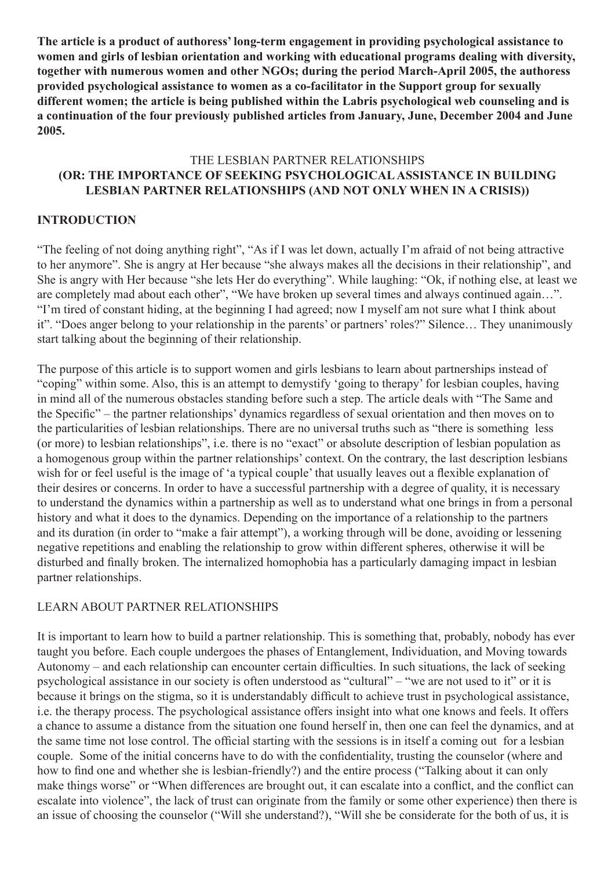**The article is a product of authoress' long-term engagement in providing psychological assistance to women and girls of lesbian orientation and working with educational programs dealing with diversity, together with numerous women and other NGOs; during the period March-April 2005, the authoress provided psychological assistance to women as a co-facilitator in the Support group for sexually different women; the article is being published within the Labris psychological web counseling and is a continuation of the four previously published articles from January, June, December 2004 and June 2005.**

### THE LESBIAN PARTNER RELATIONSHIPS **(OR: THE IMPORTANCE OF SEEKING PSYCHOLOGICAL ASSISTANCE IN BUILDING LESBIAN PARTNER RELATIONSHIPS (AND NOT ONLY WHEN IN A CRISIS))**

## **INTRODUCTION**

"The feeling of not doing anything right", "As if I was let down, actually I'm afraid of not being attractive to her anymore". She is angry at Her because "she always makes all the decisions in their relationship", and She is angry with Her because "she lets Her do everything". While laughing: "Ok, if nothing else, at least we are completely mad about each other", "We have broken up several times and always continued again…". "I'm tired of constant hiding, at the beginning I had agreed; now I myself am not sure what I think about it". "Does anger belong to your relationship in the parents' or partners' roles?" Silence… They unanimously start talking about the beginning of their relationship.

The purpose of this article is to support women and girls lesbians to learn about partnerships instead of "coping" within some. Also, this is an attempt to demystify 'going to therapy' for lesbian couples, having in mind all of the numerous obstacles standing before such a step. The article deals with "The Same and the Specific" – the partner relationships' dynamics regardless of sexual orientation and then moves on to the particularities of lesbian relationships. There are no universal truths such as "there is something less (or more) to lesbian relationships", i.e. there is no "exact" or absolute description of lesbian population as a homogenous group within the partner relationships' context. On the contrary, the last description lesbians wish for or feel useful is the image of 'a typical couple' that usually leaves out a flexible explanation of their desires or concerns. In order to have a successful partnership with a degree of quality, it is necessary to understand the dynamics within a partnership as well as to understand what one brings in from a personal history and what it does to the dynamics. Depending on the importance of a relationship to the partners and its duration (in order to "make a fair attempt"), a working through will be done, avoiding or lessening negative repetitions and enabling the relationship to grow within different spheres, otherwise it will be disturbed and finally broken. The internalized homophobia has a particularly damaging impact in lesbian partner relationships.

### LEARN ABOUT PARTNER RELATIONSHIPS

It is important to learn how to build a partner relationship. This is something that, probably, nobody has ever taught you before. Each couple undergoes the phases of Entanglement, Individuation, and Moving towards Autonomy – and each relationship can encounter certain difficulties. In such situations, the lack of seeking psychological assistance in our society is often understood as "cultural" – "we are not used to it" or it is because it brings on the stigma, so it is understandably difficult to achieve trust in psychological assistance, i.e. the therapy process. The psychological assistance offers insight into what one knows and feels. It offers a chance to assume a distance from the situation one found herself in, then one can feel the dynamics, and at the same time not lose control. The official starting with the sessions is in itself a coming out for a lesbian couple. Some of the initial concerns have to do with the confidentiality, trusting the counselor (where and how to find one and whether she is lesbian-friendly?) and the entire process ("Talking about it can only make things worse" or "When differences are brought out, it can escalate into a conflict, and the conflict can escalate into violence", the lack of trust can originate from the family or some other experience) then there is an issue of choosing the counselor ("Will she understand?), "Will she be considerate for the both of us, it is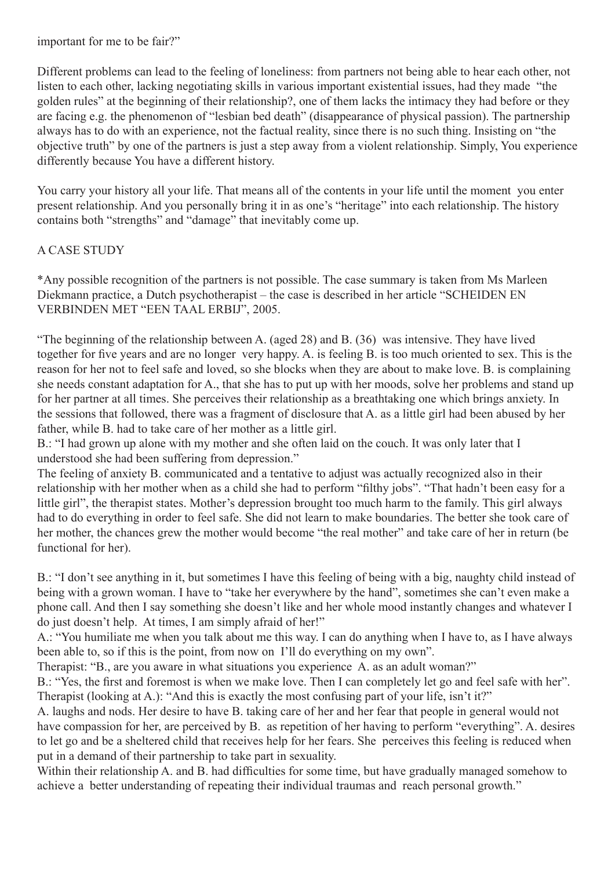important for me to be fair?"

Different problems can lead to the feeling of loneliness: from partners not being able to hear each other, not listen to each other, lacking negotiating skills in various important existential issues, had they made "the golden rules" at the beginning of their relationship?, one of them lacks the intimacy they had before or they are facing e.g. the phenomenon of "lesbian bed death" (disappearance of physical passion). The partnership always has to do with an experience, not the factual reality, since there is no such thing. Insisting on "the objective truth" by one of the partners is just a step away from a violent relationship. Simply, You experience differently because You have a different history.

You carry your history all your life. That means all of the contents in your life until the moment you enter present relationship. And you personally bring it in as one's "heritage" into each relationship. The history contains both "strengths" and "damage" that inevitably come up.

## A CASE STUDY

\*Any possible recognition of the partners is not possible. The case summary is taken from Ms Marleen Diekmann practice, a Dutch psychotherapist – the case is described in her article "SCHEIDEN EN VERBINDEN MET "EEN TAAL ERBIJ", 2005.

"The beginning of the relationship between A. (aged 28) and B. (36) was intensive. They have lived together for five years and are no longer very happy. A. is feeling B. is too much oriented to sex. This is the reason for her not to feel safe and loved, so she blocks when they are about to make love. B. is complaining she needs constant adaptation for A., that she has to put up with her moods, solve her problems and stand up for her partner at all times. She perceives their relationship as a breathtaking one which brings anxiety. In the sessions that followed, there was a fragment of disclosure that A. as a little girl had been abused by her father, while B. had to take care of her mother as a little girl.

B.: "I had grown up alone with my mother and she often laid on the couch. It was only later that I understood she had been suffering from depression."

The feeling of anxiety B. communicated and a tentative to adjust was actually recognized also in their relationship with her mother when as a child she had to perform "filthy jobs". "That hadn't been easy for a little girl", the therapist states. Mother's depression brought too much harm to the family. This girl always had to do everything in order to feel safe. She did not learn to make boundaries. The better she took care of her mother, the chances grew the mother would become "the real mother" and take care of her in return (be functional for her).

B.: "I don't see anything in it, but sometimes I have this feeling of being with a big, naughty child instead of being with a grown woman. I have to "take her everywhere by the hand", sometimes she can't even make a phone call. And then I say something she doesn't like and her whole mood instantly changes and whatever I do just doesn't help. At times, I am simply afraid of her!"

A.: "You humiliate me when you talk about me this way. I can do anything when I have to, as I have always been able to, so if this is the point, from now on I'll do everything on my own".

Therapist: "B., are you aware in what situations you experience A. as an adult woman?"

B.: "Yes, the first and foremost is when we make love. Then I can completely let go and feel safe with her". Therapist (looking at A.): "And this is exactly the most confusing part of your life, isn't it?"

A. laughs and nods. Her desire to have B. taking care of her and her fear that people in general would not have compassion for her, are perceived by B. as repetition of her having to perform "everything". A. desires to let go and be a sheltered child that receives help for her fears. She perceives this feeling is reduced when put in a demand of their partnership to take part in sexuality.

Within their relationship A, and B, had difficulties for some time, but have gradually managed somehow to achieve a better understanding of repeating their individual traumas and reach personal growth."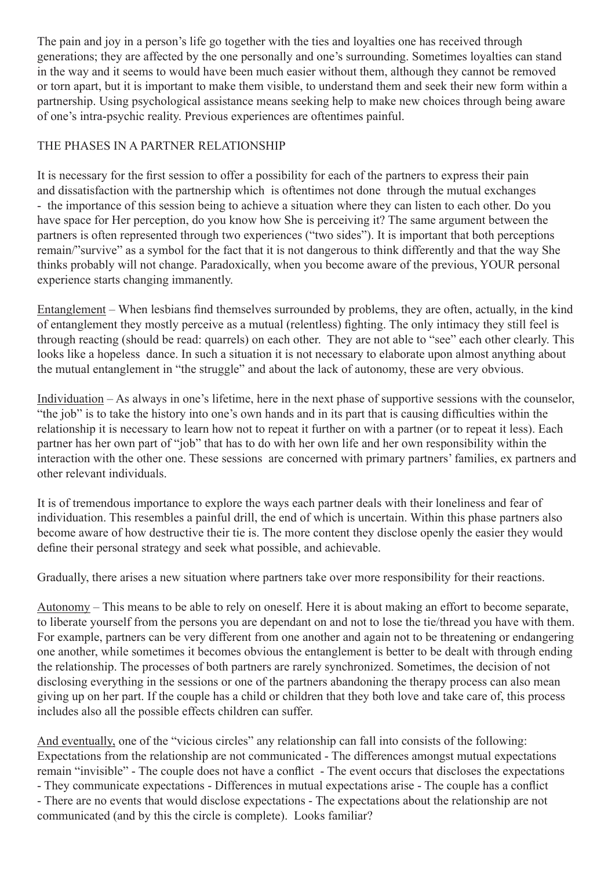The pain and joy in a person's life go together with the ties and loyalties one has received through generations; they are affected by the one personally and one's surrounding. Sometimes loyalties can stand in the way and it seems to would have been much easier without them, although they cannot be removed or torn apart, but it is important to make them visible, to understand them and seek their new form within a partnership. Using psychological assistance means seeking help to make new choices through being aware of one's intra-psychic reality. Previous experiences are oftentimes painful.

# THE PHASES IN A PARTNER RELATIONSHIP

It is necessary for the first session to offer a possibility for each of the partners to express their pain and dissatisfaction with the partnership which is oftentimes not done through the mutual exchanges - the importance of this session being to achieve a situation where they can listen to each other. Do you have space for Her perception, do you know how She is perceiving it? The same argument between the partners is often represented through two experiences ("two sides"). It is important that both perceptions remain/"survive" as a symbol for the fact that it is not dangerous to think differently and that the way She thinks probably will not change. Paradoxically, when you become aware of the previous, YOUR personal experience starts changing immanently.

Entanglement – When lesbians find themselves surrounded by problems, they are often, actually, in the kind of entanglement they mostly perceive as a mutual (relentless) fighting. The only intimacy they still feel is through reacting (should be read: quarrels) on each other. They are not able to "see" each other clearly. This looks like a hopeless dance. In such a situation it is not necessary to elaborate upon almost anything about the mutual entanglement in "the struggle" and about the lack of autonomy, these are very obvious.

Individuation – As always in one's lifetime, here in the next phase of supportive sessions with the counselor, "the job" is to take the history into one's own hands and in its part that is causing difficulties within the relationship it is necessary to learn how not to repeat it further on with a partner (or to repeat it less). Each partner has her own part of "job" that has to do with her own life and her own responsibility within the interaction with the other one. These sessions are concerned with primary partners' families, ex partners and other relevant individuals.

It is of tremendous importance to explore the ways each partner deals with their loneliness and fear of individuation. This resembles a painful drill, the end of which is uncertain. Within this phase partners also become aware of how destructive their tie is. The more content they disclose openly the easier they would define their personal strategy and seek what possible, and achievable.

Gradually, there arises a new situation where partners take over more responsibility for their reactions.

Autonomy – This means to be able to rely on oneself. Here it is about making an effort to become separate, to liberate yourself from the persons you are dependant on and not to lose the tie/thread you have with them. For example, partners can be very different from one another and again not to be threatening or endangering one another, while sometimes it becomes obvious the entanglement is better to be dealt with through ending the relationship. The processes of both partners are rarely synchronized. Sometimes, the decision of not disclosing everything in the sessions or one of the partners abandoning the therapy process can also mean giving up on her part. If the couple has a child or children that they both love and take care of, this process includes also all the possible effects children can suffer.

And eventually, one of the "vicious circles" any relationship can fall into consists of the following: Expectations from the relationship are not communicated - The differences amongst mutual expectations remain "invisible" - The couple does not have a conflict - The event occurs that discloses the expectations - They communicate expectations - Differences in mutual expectations arise - The couple has a conflict - There are no events that would disclose expectations - The expectations about the relationship are not communicated (and by this the circle is complete). Looks familiar?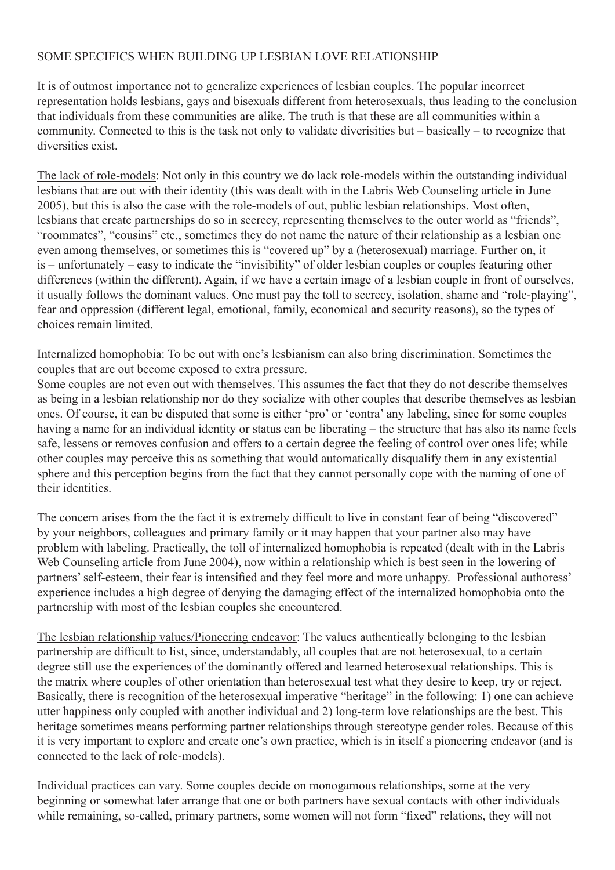## SOME SPECIFICS WHEN BUILDING UP LESBIAN LOVE RELATIONSHIP

It is of outmost importance not to generalize experiences of lesbian couples. The popular incorrect representation holds lesbians, gays and bisexuals different from heterosexuals, thus leading to the conclusion that individuals from these communities are alike. The truth is that these are all communities within a community. Connected to this is the task not only to validate diverisities but – basically – to recognize that diversities exist.

The lack of role-models: Not only in this country we do lack role-models within the outstanding individual lesbians that are out with their identity (this was dealt with in the Labris Web Counseling article in June 2005), but this is also the case with the role-models of out, public lesbian relationships. Most often, lesbians that create partnerships do so in secrecy, representing themselves to the outer world as "friends", "roommates", "cousins" etc., sometimes they do not name the nature of their relationship as a lesbian one even among themselves, or sometimes this is "covered up" by a (heterosexual) marriage. Further on, it is – unfortunately – easy to indicate the "invisibility" of older lesbian couples or couples featuring other differences (within the different). Again, if we have a certain image of a lesbian couple in front of ourselves, it usually follows the dominant values. One must pay the toll to secrecy, isolation, shame and "role-playing", fear and oppression (different legal, emotional, family, economical and security reasons), so the types of choices remain limited.

Internalized homophobia: To be out with one's lesbianism can also bring discrimination. Sometimes the couples that are out become exposed to extra pressure.

Some couples are not even out with themselves. This assumes the fact that they do not describe themselves as being in a lesbian relationship nor do they socialize with other couples that describe themselves as lesbian ones. Of course, it can be disputed that some is either 'pro' or 'contra' any labeling, since for some couples having a name for an individual identity or status can be liberating – the structure that has also its name feels safe, lessens or removes confusion and offers to a certain degree the feeling of control over ones life; while other couples may perceive this as something that would automatically disqualify them in any existential sphere and this perception begins from the fact that they cannot personally cope with the naming of one of their identities.

The concern arises from the the fact it is extremely difficult to live in constant fear of being "discovered" by your neighbors, colleagues and primary family or it may happen that your partner also may have problem with labeling. Practically, the toll of internalized homophobia is repeated (dealt with in the Labris Web Counseling article from June 2004), now within a relationship which is best seen in the lowering of partners' self-esteem, their fear is intensified and they feel more and more unhappy. Professional authoress' experience includes a high degree of denying the damaging effect of the internalized homophobia onto the partnership with most of the lesbian couples she encountered.

The lesbian relationship values/Pioneering endeavor: The values authentically belonging to the lesbian partnership are difficult to list, since, understandably, all couples that are not heterosexual, to a certain degree still use the experiences of the dominantly offered and learned heterosexual relationships. This is the matrix where couples of other orientation than heterosexual test what they desire to keep, try or reject. Basically, there is recognition of the heterosexual imperative "heritage" in the following: 1) one can achieve utter happiness only coupled with another individual and 2) long-term love relationships are the best. This heritage sometimes means performing partner relationships through stereotype gender roles. Because of this it is very important to explore and create one's own practice, which is in itself a pioneering endeavor (and is connected to the lack of role-models).

Individual practices can vary. Some couples decide on monogamous relationships, some at the very beginning or somewhat later arrange that one or both partners have sexual contacts with other individuals while remaining, so-called, primary partners, some women will not form "fixed" relations, they will not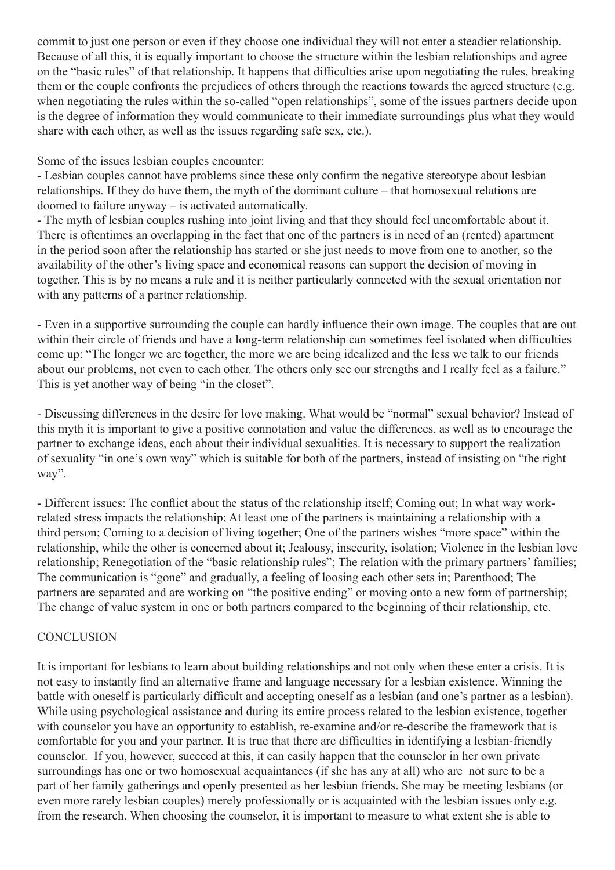commit to just one person or even if they choose one individual they will not enter a steadier relationship. Because of all this, it is equally important to choose the structure within the lesbian relationships and agree on the "basic rules" of that relationship. It happens that difficulties arise upon negotiating the rules, breaking them or the couple confronts the prejudices of others through the reactions towards the agreed structure (e.g. when negotiating the rules within the so-called "open relationships", some of the issues partners decide upon is the degree of information they would communicate to their immediate surroundings plus what they would share with each other, as well as the issues regarding safe sex, etc.).

### Some of the issues lesbian couples encounter:

- Lesbian couples cannot have problems since these only confirm the negative stereotype about lesbian relationships. If they do have them, the myth of the dominant culture – that homosexual relations are doomed to failure anyway – is activated automatically.

- The myth of lesbian couples rushing into joint living and that they should feel uncomfortable about it. There is oftentimes an overlapping in the fact that one of the partners is in need of an (rented) apartment in the period soon after the relationship has started or she just needs to move from one to another, so the availability of the other's living space and economical reasons can support the decision of moving in together. This is by no means a rule and it is neither particularly connected with the sexual orientation nor with any patterns of a partner relationship.

- Even in a supportive surrounding the couple can hardly influence their own image. The couples that are out within their circle of friends and have a long-term relationship can sometimes feel isolated when difficulties come up: "The longer we are together, the more we are being idealized and the less we talk to our friends about our problems, not even to each other. The others only see our strengths and I really feel as a failure." This is yet another way of being "in the closet".

- Discussing differences in the desire for love making. What would be "normal" sexual behavior? Instead of this myth it is important to give a positive connotation and value the differences, as well as to encourage the partner to exchange ideas, each about their individual sexualities. It is necessary to support the realization of sexuality "in one's own way" which is suitable for both of the partners, instead of insisting on "the right way".

- Different issues: The conflict about the status of the relationship itself; Coming out; In what way workrelated stress impacts the relationship; At least one of the partners is maintaining a relationship with a third person; Coming to a decision of living together; One of the partners wishes "more space" within the relationship, while the other is concerned about it; Jealousy, insecurity, isolation; Violence in the lesbian love relationship; Renegotiation of the "basic relationship rules"; The relation with the primary partners' families; The communication is "gone" and gradually, a feeling of loosing each other sets in; Parenthood; The partners are separated and are working on "the positive ending" or moving onto a new form of partnership; The change of value system in one or both partners compared to the beginning of their relationship, etc.

## **CONCLUSION**

It is important for lesbians to learn about building relationships and not only when these enter a crisis. It is not easy to instantly find an alternative frame and language necessary for a lesbian existence. Winning the battle with oneself is particularly difficult and accepting oneself as a lesbian (and one's partner as a lesbian). While using psychological assistance and during its entire process related to the lesbian existence, together with counselor you have an opportunity to establish, re-examine and/or re-describe the framework that is comfortable for you and your partner. It is true that there are difficulties in identifying a lesbian-friendly counselor. If you, however, succeed at this, it can easily happen that the counselor in her own private surroundings has one or two homosexual acquaintances (if she has any at all) who are not sure to be a part of her family gatherings and openly presented as her lesbian friends. She may be meeting lesbians (or even more rarely lesbian couples) merely professionally or is acquainted with the lesbian issues only e.g. from the research. When choosing the counselor, it is important to measure to what extent she is able to